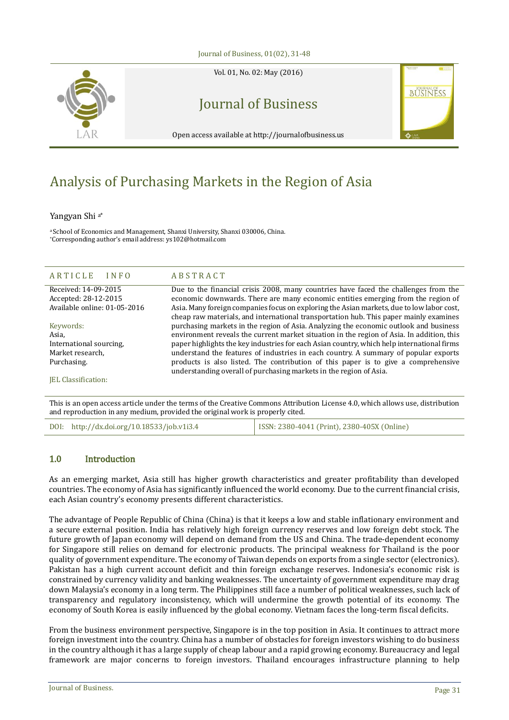

Vol. 01, No. 02: May (2016)



# Journal of Business

Open access available at http://journalofbusiness.us

# Analysis of Purchasing Markets in the Region of Asia

Yangyan Shi a\*

<sup>a</sup> School of Economics and Management, Shanxi University, Shanxi 030006, China. \*Corresponding author's email address: ys102@hotmail.com

| ARTICLE<br>INFO              | <b>ABSTRACT</b>                                                                            |  |  |  |  |  |  |  |
|------------------------------|--------------------------------------------------------------------------------------------|--|--|--|--|--|--|--|
| Received: 14-09-2015         | Due to the financial crisis 2008, many countries have faced the challenges from the        |  |  |  |  |  |  |  |
| Accepted: 28-12-2015         | economic downwards. There are many economic entities emerging from the region of           |  |  |  |  |  |  |  |
| Available online: 01-05-2016 | Asia. Many foreign companies focus on exploring the Asian markets, due to low labor cost,  |  |  |  |  |  |  |  |
|                              | cheap raw materials, and international transportation hub. This paper mainly examines      |  |  |  |  |  |  |  |
| Keywords:                    | purchasing markets in the region of Asia. Analyzing the economic outlook and business      |  |  |  |  |  |  |  |
| Asia,                        | environment reveals the current market situation in the region of Asia. In addition, this  |  |  |  |  |  |  |  |
| International sourcing.      | paper highlights the key industries for each Asian country, which help international firms |  |  |  |  |  |  |  |
| Market research,             | understand the features of industries in each country. A summary of popular exports        |  |  |  |  |  |  |  |
| Purchasing.                  | products is also listed. The contribution of this paper is to give a comprehensive         |  |  |  |  |  |  |  |
|                              | understanding overall of purchasing markets in the region of Asia.                         |  |  |  |  |  |  |  |
| <b>IEL Classification:</b>   |                                                                                            |  |  |  |  |  |  |  |
|                              |                                                                                            |  |  |  |  |  |  |  |

This is an open access article under the terms of the Creative Commons Attribution License 4.0, which allows use, distribution and reproduction in any medium, provided the original work is properly cited.

| DOI: http://dx.doi.org/10.18533/job.v1i3.4 | ISSN: 2380-4041 (Print), 2380-405X (Online) |
|--------------------------------------------|---------------------------------------------|
|--------------------------------------------|---------------------------------------------|

# 1.0 Introduction

As an emerging market, Asia still has higher growth characteristics and greater profitability than developed countries. The economy of Asia has significantly influenced the world economy. Due to the current financial crisis, each Asian country's economy presents different characteristics.

The advantage of People Republic of China (China) is that it keeps a low and stable inflationary environment and a secure external position. India has relatively high foreign currency reserves and low foreign debt stock. The future growth of Japan economy will depend on demand from the US and China. The trade-dependent economy for Singapore still relies on demand for electronic products. The principal weakness for Thailand is the poor quality of government expenditure. The economy of Taiwan depends on exports from a single sector (electronics). Pakistan has a high current account deficit and thin foreign exchange reserves. Indonesia's economic risk is constrained by currency validity and banking weaknesses. The uncertainty of government expenditure may drag down Malaysia's economy in a long term. The Philippines still face a number of political weaknesses, such lack of transparency and regulatory inconsistency, which will undermine the growth potential of its economy. The economy of South Korea is easily influenced by the global economy. Vietnam faces the long-term fiscal deficits.

From the business environment perspective, Singapore is in the top position in Asia. It continues to attract more foreign investment into the country. China has a number of obstacles for foreign investors wishing to do business in the country although it has a large supply of cheap labour and a rapid growing economy. Bureaucracy and legal framework are major concerns to foreign investors. Thailand encourages infrastructure planning to help

**BUSINESS**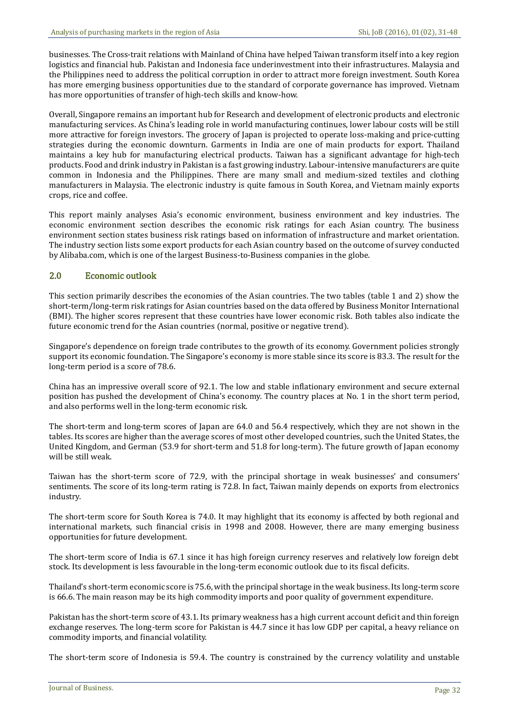businesses. The Cross-trait relations with Mainland of China have helped Taiwan transform itself into a key region logistics and financial hub. Pakistan and Indonesia face underinvestment into their infrastructures. Malaysia and the Philippines need to address the political corruption in order to attract more foreign investment. South Korea has more emerging business opportunities due to the standard of corporate governance has improved. Vietnam has more opportunities of transfer of high-tech skills and know-how.

Overall, Singapore remains an important hub for Research and development of electronic products and electronic manufacturing services. As China's leading role in world manufacturing continues, lower labour costs will be still more attractive for foreign investors. The grocery of Japan is projected to operate loss-making and price-cutting strategies during the economic downturn. Garments in India are one of main products for export. Thailand maintains a key hub for manufacturing electrical products. Taiwan has a significant advantage for high-tech products. Food and drink industry in Pakistan is a fast growing industry. Labour-intensive manufacturers are quite common in Indonesia and the Philippines. There are many small and medium-sized textiles and clothing manufacturers in Malaysia. The electronic industry is quite famous in South Korea, and Vietnam mainly exports crops, rice and coffee.

This report mainly analyses Asia's economic environment, business environment and key industries. The economic environment section describes the economic risk ratings for each Asian country. The business environment section states business risk ratings based on information of infrastructure and market orientation. The industry section lists some export products for each Asian country based on the outcome of survey conducted by Alibaba.com, which is one of the largest Business-to-Business companies in the globe.

### 2.0 Economic outlook

This section primarily describes the economies of the Asian countries. The two tables (table 1 and 2) show the short-term/long-term risk ratings for Asian countries based on the data offered by Business Monitor International (BMI). The higher scores represent that these countries have lower economic risk. Both tables also indicate the future economic trend for the Asian countries (normal, positive or negative trend).

Singapore's dependence on foreign trade contributes to the growth of its economy. Government policies strongly support its economic foundation. The Singapore's economy is more stable since its score is 83.3. The result for the long-term period is a score of 78.6.

China has an impressive overall score of 92.1. The low and stable inflationary environment and secure external position has pushed the development of China's economy. The country places at No. 1 in the short term period, and also performs well in the long-term economic risk.

The short-term and long-term scores of Japan are 64.0 and 56.4 respectively, which they are not shown in the tables. Its scores are higher than the average scores of most other developed countries, such the United States, the United Kingdom, and German (53.9 for short-term and 51.8 for long-term). The future growth of Japan economy will be still weak.

Taiwan has the short-term score of 72.9, with the principal shortage in weak businesses' and consumers' sentiments. The score of its long-term rating is 72.8. In fact, Taiwan mainly depends on exports from electronics industry.

The short-term score for South Korea is 74.0. It may highlight that its economy is affected by both regional and international markets, such financial crisis in 1998 and 2008. However, there are many emerging business opportunities for future development.

The short-term score of India is 67.1 since it has high foreign currency reserves and relatively low foreign debt stock. Its development is less favourable in the long-term economic outlook due to its fiscal deficits.

Thailand's short-term economic score is 75.6, with the principal shortage in the weak business. Its long-term score is 66.6. The main reason may be its high commodity imports and poor quality of government expenditure.

Pakistan has the short-term score of 43.1. Its primary weakness has a high current account deficit and thin foreign exchange reserves. The long-term score for Pakistan is 44.7 since it has low GDP per capital, a heavy reliance on commodity imports, and financial volatility.

The short-term score of Indonesia is 59.4. The country is constrained by the currency volatility and unstable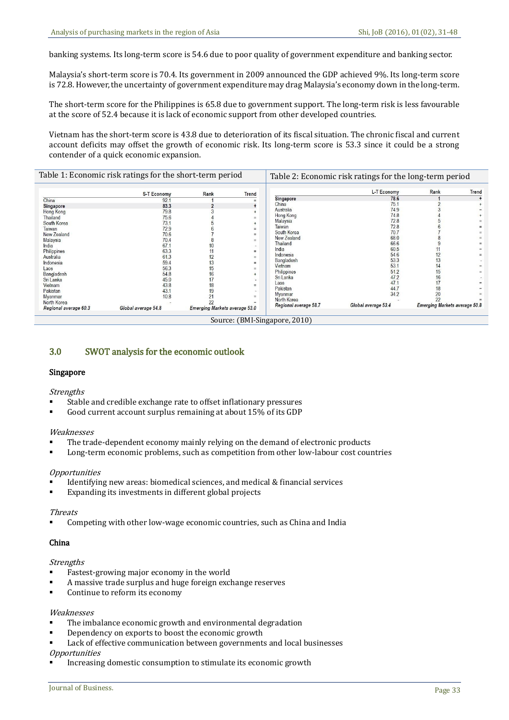banking systems. Its long-term score is 54.6 due to poor quality of government expenditure and banking sector.

Malaysia's short-term score is 70.4. Its government in 2009 announced the GDP achieved 9%. Its long-term score is 72.8. However, the uncertainty of government expenditure may drag Malaysia's economy down in the long-term.

The short-term score for the Philippines is 65.8 due to government support. The long-term risk is less favourable at the score of 52.4 because it is lack of economic support from other developed countries.

Vietnam has the short-term score is 43.8 due to deterioration of its fiscal situation. The chronic fiscal and current account deficits may offset the growth of economic risk. Its long-term score is 53.3 since it could be a strong contender of a quick economic expansion.

|                                      | S-T Economy         | Rank                                | <b>Trend</b> |                       | <b>L-T Economy</b>  | Rank                                 | <b>Trend</b> |
|--------------------------------------|---------------------|-------------------------------------|--------------|-----------------------|---------------------|--------------------------------------|--------------|
| China                                | 92.1                |                                     | $=$          | Singapore             | 78.6                |                                      |              |
| Singapore                            | 83.3                |                                     | $\ddot{}$    | China                 | 75.1                |                                      |              |
| Hong Kong                            | 79.8                |                                     | $+$          | Australia             | 74.9                |                                      |              |
| Thailand                             | 75.6                |                                     | $=$          | Hong Kong             | 74.8                |                                      |              |
| South Korea                          | 73.1                |                                     | $\ddot{}$    | Malaysia              | 72.8                |                                      | =            |
| Taiwan                               | 72.9                |                                     | $=$          | Taiwan                | 72.8                |                                      | =            |
| New Zealand                          | 70.6                |                                     | $=$          | South Korea           | 70.7                |                                      | $=$          |
| Malaysia                             | 70.4                |                                     | $=$          | New Zealand           | 68.0                |                                      | $=$          |
| India                                | 67.1                | 10                                  | $\sim$       | Thailand              | 66.6                |                                      | $=$          |
| Philippines                          | 63.3                |                                     | $=$          | India                 | 60.5                |                                      | $=$          |
| Australia                            | 61.3                | 12                                  | $=$          | Indonesia             | 54.6                | 12                                   | $=$          |
| Indonesia                            | 59.4                | 13                                  | $=$          | Bangladesh            | 53.3                | 13                                   |              |
|                                      | 56.3                | 15                                  | $=$          | Vietnam               | 53.1                | 14                                   | $=$          |
| Laos                                 | 54.8                | 16                                  |              | Philippines           | 51.2                | 15                                   | $=$          |
| Bangladesh                           |                     |                                     | $+$          | Sri Lanka             | 47.2                | 16                                   |              |
| Sri Lanka                            | 45.0                |                                     | u.           | Laos                  | 47.1                | 17                                   | $=$          |
| Vietnam                              | 43.8                | 18                                  | $=$          | Pakistan              | 44.7                | 18                                   | $=$          |
| Pakistan                             | 43.1<br>10.8        | 19<br>21                            | $\sim$       | Myanmar               | 34.2                | 20                                   | $=$          |
| Myanmar                              |                     |                                     | $=$          | North Korea           |                     | 22                                   |              |
| North Korea<br>Regional average 60.3 | Global average 54.8 | 22<br>Emerging Markets average 53.0 | $=$          | Regional average 58.7 | Global average 53.4 | <b>Emerging Markets average 50.8</b> |              |

# 3.0 SWOT analysis for the economic outlook

### Singapore

Strengths

- Stable and credible exchange rate to offset inflationary pressures
- Good current account surplus remaining at about 15% of its GDP

#### Weaknesses

- The trade-dependent economy mainly relying on the demand of electronic products
- Long-term economic problems, such as competition from other low-labour cost countries

#### **Opportunities**

- Identifying new areas: biomedical sciences, and medical & financial services
- Expanding its investments in different global projects

**Threats** 

Competing with other low-wage economic countries, such as China and India

### China

### **Strengths**

- **Fastest-growing major economy in the world**
- A massive trade surplus and huge foreign exchange reserves
- **Continue to reform its economy**

#### Weaknesses

- The imbalance economic growth and environmental degradation
- Dependency on exports to boost the economic growth
- Lack of effective communication between governments and local businesses

### **Opportunities**

Increasing domestic consumption to stimulate its economic growth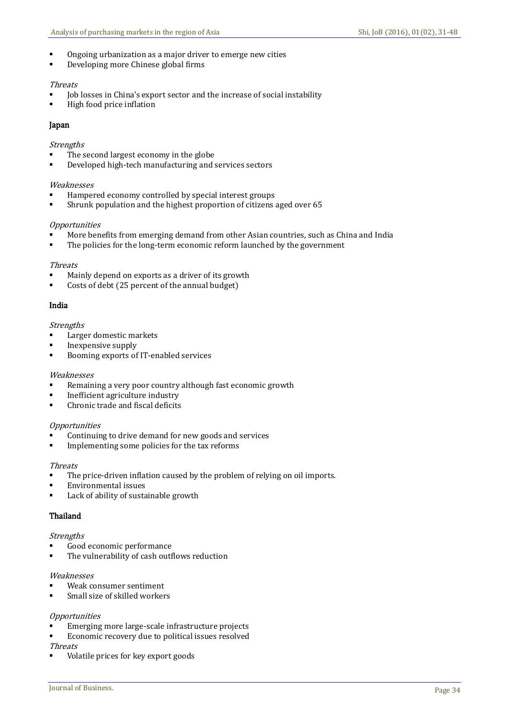- Ongoing urbanization as a major driver to emerge new cities
- Developing more Chinese global firms

### **Threats**

- Job losses in China's export sector and the increase of social instability
- High food price inflation

### Japan

### **Strengths**

- The second largest economy in the globe
- **Developed high-tech manufacturing and services sectors**

### Weaknesses

- Hampered economy controlled by special interest groups
- Shrunk population and the highest proportion of citizens aged over 65

### **Opportunities**

- More benefits from emerging demand from other Asian countries, such as China and India
- The policies for the long-term economic reform launched by the government

### Threats

- Mainly depend on exports as a driver of its growth
- Costs of debt (25 percent of the annual budget)

### India

### **Strengths**

- **Larger domestic markets**
- $\blacksquare$  Inexpensive supply
- Booming exports of IT-enabled services

#### Weaknesses

- Remaining a very poor country although fast economic growth
- **Inefficient agriculture industry**
- Chronic trade and fiscal deficits

### **Opportunities**

- Continuing to drive demand for new goods and services
- **Implementing some policies for the tax reforms**

### **Threats**

- The price-driven inflation caused by the problem of relying on oil imports.
- Environmental issues
- **Lack of ability of sustainable growth**

### Thailand

### **Strengths**

- Good economic performance
- The vulnerability of cash outflows reduction

### Weaknesses

- Weak consumer sentiment
- Small size of skilled workers

### **Opportunities**

- **Emerging more large-scale infrastructure projects**
- Economic recovery due to political issues resolved

### **Threats**

Volatile prices for key export goods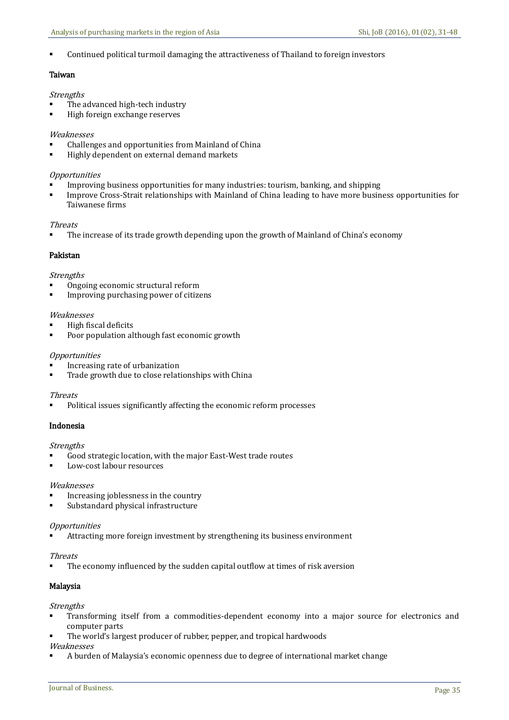Continued political turmoil damaging the attractiveness of Thailand to foreign investors

### Taiwan

### **Strengths**

- The advanced high-tech industry
- High foreign exchange reserves

### Weaknesses

- Challenges and opportunities from Mainland of China
- **Highly dependent on external demand markets**

### **Opportunities**

- Improving business opportunities for many industries: tourism, banking, and shipping
- Improve Cross-Strait relationships with Mainland of China leading to have more business opportunities for Taiwanese firms

### **Thrasts**

The increase of its trade growth depending upon the growth of Mainland of China's economy

### Pakistan

### **Strengths**

- **•** Ongoing economic structural reform
- Improving purchasing power of citizens

### Weaknesses

- High fiscal deficits
- Poor population although fast economic growth

### **Opportunities**

- Increasing rate of urbanization
- **Trade growth due to close relationships with China**

### Threats

• Political issues significantly affecting the economic reform processes

# Indonesia

### **Strengths**

- Good strategic location, with the major East-West trade routes
- Low-cost labour resources

### Weaknesses

- **Increasing joblessness in the country**
- Substandard physical infrastructure

### **Opportunities**

Attracting more foreign investment by strengthening its business environment

**Threats** 

The economy influenced by the sudden capital outflow at times of risk aversion

# Malaysia

**Strengths** 

- Transforming itself from a commodities-dependent economy into a major source for electronics and computer parts
- The world's largest producer of rubber, pepper, and tropical hardwoods Weaknesses
- A burden of Malaysia's economic openness due to degree of international market change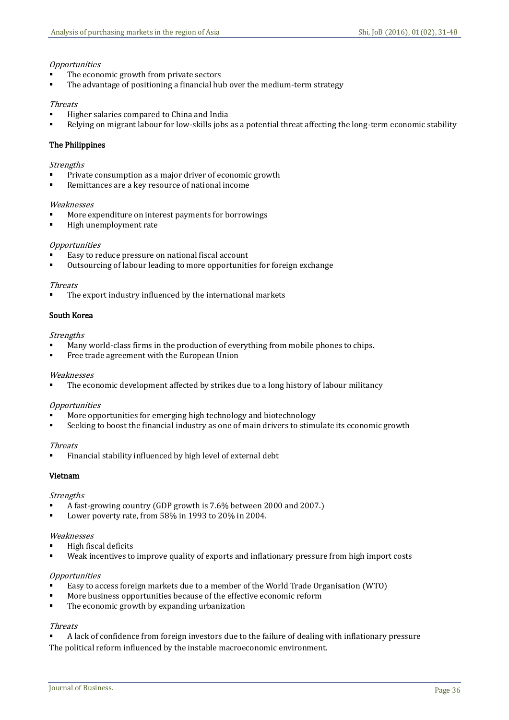### **Opportunities**

- The economic growth from private sectors
- The advantage of positioning a financial hub over the medium-term strategy

### Threats

- Higher salaries compared to China and India
- Relying on migrant labour for low-skills jobs as a potential threat affecting the long-term economic stability

# The Philippines

**Strengths** 

- Private consumption as a major driver of economic growth
- Remittances are a key resource of national income

### Weaknesses

- More expenditure on interest payments for borrowings
- High unemployment rate

# **Opportunities**

- Easy to reduce pressure on national fiscal account
- Outsourcing of labour leading to more opportunities for foreign exchange

### **Threats**

The export industry influenced by the international markets

# South Korea

### **Strengths**

- Many world-class firms in the production of everything from mobile phones to chips.
- Free trade agreement with the European Union

### Weaknesses

**The economic development affected by strikes due to a long history of labour militancy** 

### **Opportunities**

- More opportunities for emerging high technology and biotechnology
- Seeking to boost the financial industry as one of main drivers to stimulate its economic growth

### **Threats**

Financial stability influenced by high level of external debt

# Vietnam

### **Strengths**

- A fast-growing country (GDP growth is 7.6% between 2000 and 2007.)
- Lower poverty rate, from 58% in 1993 to 20% in 2004.

### Weaknesses

- High fiscal deficits
- Weak incentives to improve quality of exports and inflationary pressure from high import costs

### **Opportunities**

- Easy to access foreign markets due to a member of the World Trade Organisation (WTO)
- More business opportunities because of the effective economic reform
- The economic growth by expanding urbanization

# Threats

 A lack of confidence from foreign investors due to the failure of dealing with inflationary pressure The political reform influenced by the instable macroeconomic environment.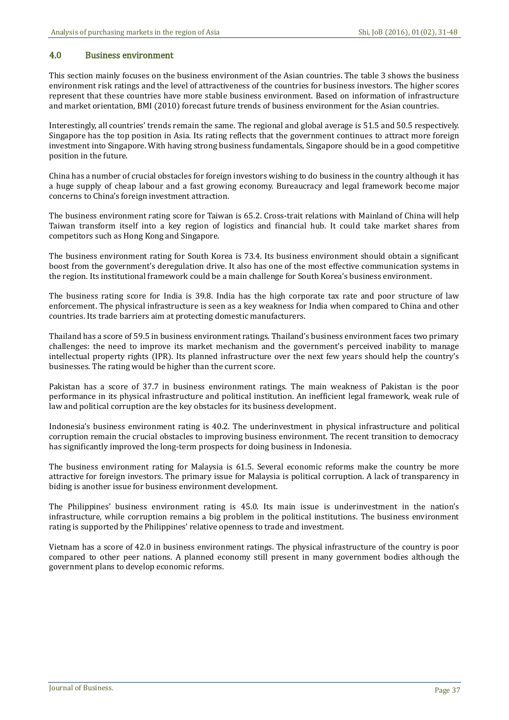### 4.0 Business environment

This section mainly focuses on the business environment of the Asian countries. The table 3 shows the business environment risk ratings and the level of attractiveness of the countries for business investors. The higher scores represent that these countries have more stable business environment. Based on information of infrastructure and market orientation, BMI (2010) forecast future trends of business environment for the Asian countries.

Interestingly, all countries' trends remain the same. The regional and global average is 51.5 and 50.5 respectively. Singapore has the top position in Asia. Its rating reflects that the government continues to attract more foreign investment into Singapore. With having strong business fundamentals, Singapore should be in a good competitive position in the future.

China has a number of crucial obstacles for foreign investors wishing to do business in the country although it has a huge supply of cheap labour and a fast growing economy. Bureaucracy and legal framework become major concerns to China's foreign investment attraction.

The business environment rating score for Taiwan is 65.2. Cross-trait relations with Mainland of China will help Taiwan transform itself into a key region of logistics and financial hub. It could take market shares from competitors such as Hong Kong and Singapore.

The business environment rating for South Korea is 73.4. Its business environment should obtain a significant boost from the government's deregulation drive. It also has one of the most effective communication systems in the region. Its institutional framework could be a main challenge for South Korea's business environment.

The business rating score for India is 39.8. India has the high corporate tax rate and poor structure of law enforcement. The physical infrastructure is seen as a key weakness for India when compared to China and other countries. Its trade barriers aim at protecting domestic manufacturers.

Thailand has a score of 59.5 in business environment ratings. Thailand's business environment faces two primary challenges: the need to improve its market mechanism and the government's perceived inability to manage intellectual property rights (IPR). Its planned infrastructure over the next few years should help the country's businesses. The rating would be higher than the current score.

Pakistan has a score of 37.7 in business environment ratings. The main weakness of Pakistan is the poor performance in its physical infrastructure and political institution. An inefficient legal framework, weak rule of law and political corruption are the key obstacles for its business development.

Indonesia's business environment rating is 40.2. The underinvestment in physical infrastructure and political corruption remain the crucial obstacles to improving business environment. The recent transition to democracy has significantly improved the long-term prospects for doing business in Indonesia.

The business environment rating for Malaysia is 61.5. Several economic reforms make the country be more attractive for foreign investors. The primary issue for Malaysia is political corruption. A lack of transparency in biding is another issue for business environment development.

The Philippines' business environment rating is 45.0. Its main issue is underinvestment in the nation's infrastructure, while corruption remains a big problem in the political institutions. The business environment rating is supported by the Philippines' relative openness to trade and investment.

Vietnam has a score of 42.0 in business environment ratings. The physical infrastructure of the country is poor compared to other peer nations. A planned economy still present in many government bodies although the government plans to develop economic reforms.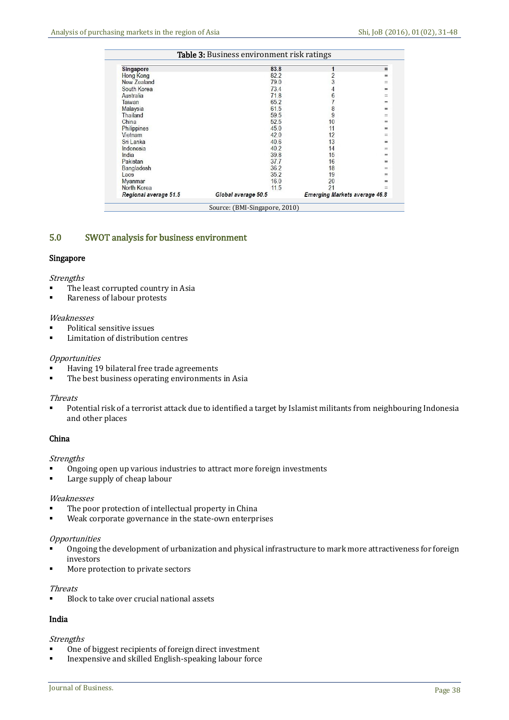$\overline{\phantom{a}}$ 

| Singapore             | 83.8                |               | $\equiv$                             |  |  |
|-----------------------|---------------------|---------------|--------------------------------------|--|--|
| <b>Hong Kong</b>      | 82.2                | 2             | $=$                                  |  |  |
| New Zealand           | 79.0                | 3             | $=$                                  |  |  |
| South Korea           | 73.4                | 4             | $=$                                  |  |  |
| Australia             | 71.8                | 6             | $=$                                  |  |  |
| Taiwan                | 65.2                |               | $=$                                  |  |  |
| Malaysia              | 61.5                |               | $=$                                  |  |  |
| Thailand              | 59.5                | $\frac{8}{9}$ | $=$                                  |  |  |
| China                 | 52.5                | 10            | $=$                                  |  |  |
| Philippines           | 45.0                | 11            | $=$                                  |  |  |
| Vietnam               | 42.0                | 12            | $=$                                  |  |  |
| Sri Lanka             | 40.6                | 13            | $=$                                  |  |  |
| Indonesia             | 40.2                | 14            | $=$                                  |  |  |
| India                 | 39.8                | 15            | $=$                                  |  |  |
| Pakistan              | 37.7                | 16            | $=$                                  |  |  |
| Bangladesh            | 36.2                | 18            | $=$                                  |  |  |
| Laos                  | 35.2                | 19            | Ξ                                    |  |  |
| Myanmar               | 16.0                | 20            | $=$                                  |  |  |
| North Korea           | 11.5                | 21            | $=$                                  |  |  |
| Regional average 51.5 | Global average 50.5 |               | <b>Emerging Markets average 46.8</b> |  |  |

# 5.0 SWOT analysis for business environment

### Singapore

### **Strengths**

- The least corrupted country in Asia
- Rareness of labour protests

#### Weaknesses

- Political sensitive issues
- **EXECUTE:** Limitation of distribution centres

### **Opportunities**

- Having 19 bilateral free trade agreements
- The best business operating environments in Asia

### **Threats**

 Potential risk of a terrorist attack due to identified a target by Islamist militants from neighbouring Indonesia and other places

### China

### **Strengths**

- Ongoing open up various industries to attract more foreign investments
- Large supply of cheap labour

#### Weaknesses

- The poor protection of intellectual property in China
- Weak corporate governance in the state-own enterprises

# **Opportunities**

- Ongoing the development of urbanization and physical infrastructure to mark more attractiveness for foreign investors
- More protection to private sectors

# Threats

Block to take over crucial national assets

# India

# **Strengths**

- One of biggest recipients of foreign direct investment
- Inexpensive and skilled English-speaking labour force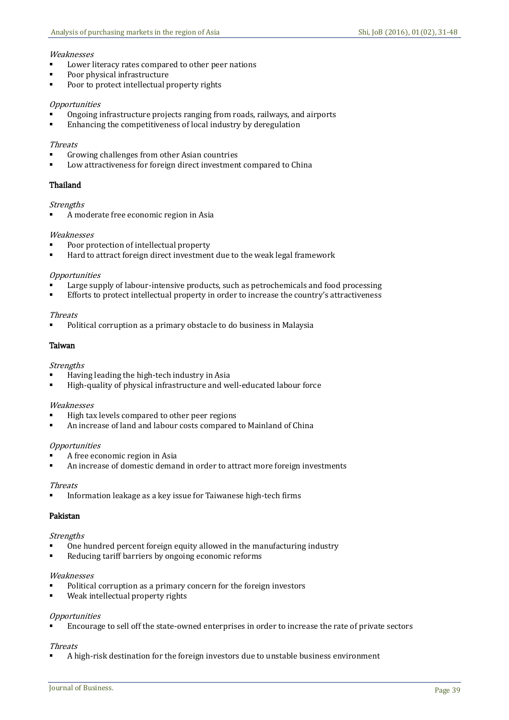### Weaknesses

- **Lower literacy rates compared to other peer nations**
- Poor physical infrastructure
- Poor to protect intellectual property rights

### **Opportunities**

- Ongoing infrastructure projects ranging from roads, railways, and airports
- Enhancing the competitiveness of local industry by deregulation

### Threats

- Growing challenges from other Asian countries
- **EXECUTE:** Low attractiveness for foreign direct investment compared to China

### Thailand

### **Strengths**

A moderate free economic region in Asia

### Weaknesses

- Poor protection of intellectual property
- Hard to attract foreign direct investment due to the weak legal framework

### **Opportunities**

- Large supply of labour-intensive products, such as petrochemicals and food processing
- Efforts to protect intellectual property in order to increase the country's attractiveness

### **Threats**

Political corruption as a primary obstacle to do business in Malaysia

### Taiwan

### **Strengths**

- Having leading the high-tech industry in Asia
- High-quality of physical infrastructure and well-educated labour force

### Weaknesses

- High tax levels compared to other peer regions
- An increase of land and labour costs compared to Mainland of China

### **Opportunities**

- A free economic region in Asia
- An increase of domestic demand in order to attract more foreign investments

### Threats

Information leakage as a key issue for Taiwanese high-tech firms

### Pakistan

### **Strengths**

- One hundred percent foreign equity allowed in the manufacturing industry
- Reducing tariff barriers by ongoing economic reforms

### Weaknesses

- Political corruption as a primary concern for the foreign investors
- Weak intellectual property rights

### **Opportunities**

Encourage to sell off the state-owned enterprises in order to increase the rate of private sectors

### **Threats**

A high-risk destination for the foreign investors due to unstable business environment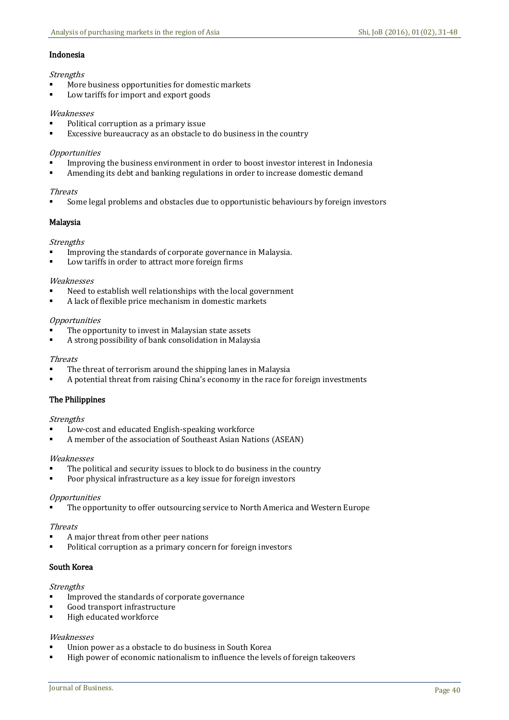### Indonesia

### **Strengths**

- More business opportunities for domestic markets
- Low tariffs for import and export goods

### Weaknesses

- **•** Political corruption as a primary issue
- Excessive bureaucracy as an obstacle to do business in the country

### **Opportunities**

- Improving the business environment in order to boost investor interest in Indonesia
- Amending its debt and banking regulations in order to increase domestic demand

### Threats

Some legal problems and obstacles due to opportunistic behaviours by foreign investors

# Malaysia

**Strengths** 

- Improving the standards of corporate governance in Malaysia.
- Low tariffs in order to attract more foreign firms

### Weaknesses

- Need to establish well relationships with the local government
- A lack of flexible price mechanism in domestic markets

### **Opportunities**

- The opportunity to invest in Malaysian state assets
- A strong possibility of bank consolidation in Malaysia

### **Threats**

- The threat of terrorism around the shipping lanes in Malaysia
- A potential threat from raising China's economy in the race for foreign investments

# The Philippines

**Strengths** 

- Low-cost and educated English-speaking workforce
- A member of the association of Southeast Asian Nations (ASEAN)

### Weaknesses

- The political and security issues to block to do business in the country
- Poor physical infrastructure as a key issue for foreign investors

### **Opportunities**

The opportunity to offer outsourcing service to North America and Western Europe

# Threats

- A major threat from other peer nations
- Political corruption as a primary concern for foreign investors

# South Korea

# **Strengths**

- **IMPROVED 1** Improved the standards of corporate governance
- Good transport infrastructure
- High educated workforce

# Weaknesses

- Union power as a obstacle to do business in South Korea
- High power of economic nationalism to influence the levels of foreign takeovers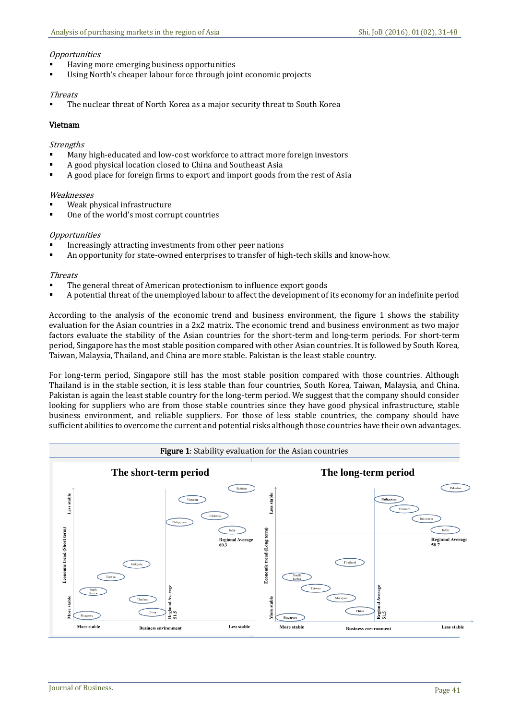### **Opportunities**

- Having more emerging business opportunities
- Using North's cheaper labour force through joint economic projects

### Threats

The nuclear threat of North Korea as a major security threat to South Korea

# Vietnam

**Strengths** 

- Many high-educated and low-cost workforce to attract more foreign investors
- A good physical location closed to China and Southeast Asia
- A good place for foreign firms to export and import goods from the rest of Asia

### Weaknesses

- Weak physical infrastructure
- One of the world's most corrupt countries

# **Opportunities**

- Increasingly attracting investments from other peer nations
- An opportunity for state-owned enterprises to transfer of high-tech skills and know-how.

### **Threats**

- The general threat of American protectionism to influence export goods
- A potential threat of the unemployed labour to affect the development of its economy for an indefinite period

According to the analysis of the economic trend and business environment, the figure 1 shows the stability evaluation for the Asian countries in a 2x2 matrix. The economic trend and business environment as two major factors evaluate the stability of the Asian countries for the short-term and long-term periods. For short-term period, Singapore has the most stable position compared with other Asian countries. It is followed by South Korea, Taiwan, Malaysia, Thailand, and China are more stable. Pakistan is the least stable country.

For long-term period, Singapore still has the most stable position compared with those countries. Although Thailand is in the stable section, it is less stable than four countries, South Korea, Taiwan, Malaysia, and China. Pakistan is again the least stable country for the long-term period. We suggest that the company should consider looking for suppliers who are from those stable countries since they have good physical infrastructure, stable business environment, and reliable suppliers. For those of less stable countries, the company should have sufficient abilities to overcome the current and potential risks although those countries have their own advantages.

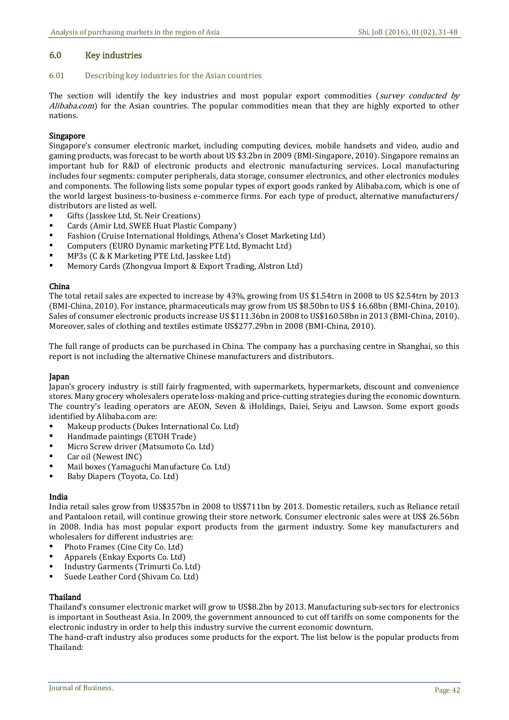# 6.0 Key industries

### 6.01 Describing key industries for the Asian countries

The section will identify the key industries and most popular export commodities (survey conducted by Alibaba.com) for the Asian countries. The popular commodities mean that they are highly exported to other nations.

### Singapore

Singapore's consumer electronic market, including computing devices, mobile handsets and video, audio and gaming products, was forecast to be worth about US \$3.2bn in 2009 (BMI-Singapore, 2010). Singapore remains an important hub for R&D of electronic products and electronic manufacturing services. Local manufacturing includes four segments: computer peripherals, data storage, consumer electronics, and other electronics modules and components. The following lists some popular types of export goods ranked by Alibaba.com, which is one of the world largest business-to-business e-commerce firms. For each type of product, alternative manufacturers/ distributors are listed as well.

- Gifts (Jasskee Ltd, St. Neir Creations)
- Cards (Amir Ltd, SWEE Huat Plastic Company)
- Fashion (Cruise International Holdings, Athena's Closet Marketing Ltd)
- Computers (EURO Dynamic marketing PTE Ltd, Bymacht Ltd)
- MP3s (C & K Marketing PTE Ltd, Jasskee Ltd)
- Memory Cards (Zhongvua Import & Export Trading, Alstron Ltd)

### China

The total retail sales are expected to increase by 43%, growing from US \$1.54trn in 2008 to US \$2.54trn by 2013 (BMI-China, 2010). For instance, pharmaceuticals may grow from US \$8.50bn to US \$ 16.68bn (BMI-China, 2010). Sales of consumer electronic products increase US \$111.36bn in 2008 to US\$160.58bn in 2013 (BMI-China, 2010). Moreover, sales of clothing and textiles estimate US\$277.29bn in 2008 (BMI-China, 2010).

The full range of products can be purchased in China. The company has a purchasing centre in Shanghai, so this report is not including the alternative Chinese manufacturers and distributors.

### Japan

Japan's grocery industry is still fairly fragmented, with supermarkets, hypermarkets, discount and convenience stores. Many grocery wholesalers operate loss-making and price-cutting strategies during the economic downturn. The country's leading operators are AEON, Seven & iHoldings, Daiei, Seiyu and Lawson. Some export goods identified by Alibaba.com are:

- Makeup products (Dukes International Co. Ltd)
- Handmade paintings (ETOH Trade)
- Micro Screw driver (Matsumoto Co. Ltd)
- Car oil (Newest INC)
- Mail boxes (Yamaguchi Manufacture Co. Ltd)
- Baby Diapers (Toyota, Co. Ltd)

### India

India retail sales grow from US\$357bn in 2008 to US\$711bn by 2013. Domestic retailers, such as Reliance retail and Pantaloon retail, will continue growing their store network. Consumer electronic sales were at US\$ 26.56bn in 2008. India has most popular export products from the garment industry. Some key manufacturers and wholesalers for different industries are:

- Photo Frames (Cine City Co. Ltd)
- Apparels (Enkay Exports Co. Ltd)
- Industry Garments (Trimurti Co. Ltd)
- Suede Leather Cord (Shivam Co. Ltd)

# Thailand

Thailand's consumer electronic market will grow to US\$8.2bn by 2013. Manufacturing sub-sectors for electronics is important in Southeast Asia. In 2009, the government announced to cut off tariffs on some components for the electronic industry in order to help this industry survive the current economic downturn.

The hand-craft industry also produces some products for the export. The list below is the popular products from Thailand: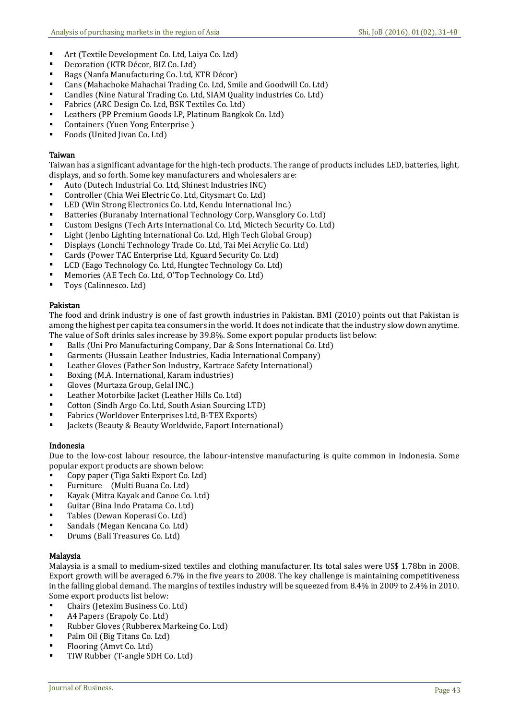- Art (Textile Development Co. Ltd, Laiya Co. Ltd)
- **Decoration (KTR Décor, BIZ Co. Ltd)**
- Bags (Nanfa Manufacturing Co. Ltd, KTR Décor)
- Cans (Mahachoke Mahachai Trading Co. Ltd, Smile and Goodwill Co. Ltd)
- Candles (Nine Natural Trading Co. Ltd, SIAM Quality industries Co. Ltd)
- Fabrics (ARC Design Co. Ltd, BSK Textiles Co. Ltd)
- Leathers (PP Premium Goods LP, Platinum Bangkok Co. Ltd)
- Containers (Yuen Yong Enterprise)
- **Foods (United Jivan Co. Ltd)**

### Taiwan

Taiwan has a significant advantage for the high-tech products. The range of products includes LED, batteries, light, displays, and so forth. Some key manufacturers and wholesalers are:

- Auto (Dutech Industrial Co. Ltd, Shinest Industries INC)
- Controller (Chia Wei Electric Co. Ltd, Citysmart Co. Ltd)
- LED (Win Strong Electronics Co. Ltd, Kendu International Inc.)
- Batteries (Buranaby International Technology Corp, Wansglory Co. Ltd)
- Custom Designs (Tech Arts International Co. Ltd, Mictech Security Co. Ltd)
- Light (Jenbo Lighting International Co. Ltd, High Tech Global Group)
- Displays (Lonchi Technology Trade Co. Ltd, Tai Mei Acrylic Co. Ltd)
- Cards (Power TAC Enterprise Ltd, Kguard Security Co. Ltd)
- LCD (Eago Technology Co. Ltd, Hungtec Technology Co. Ltd)
- Memories (AE Tech Co. Ltd, O'Top Technology Co. Ltd)
- **Toys (Calinnesco. Ltd)**

# Pakistan

The food and drink industry is one of fast growth industries in Pakistan. BMI (2010) points out that Pakistan is among the highest per capita tea consumers in the world. It does not indicate that the industry slow down anytime. The value of Soft drinks sales increase by 39.8%. Some export popular products list below:

- Balls (Uni Pro Manufacturing Company, Dar & Sons International Co. Ltd)
- Garments (Hussain Leather Industries, Kadia International Company)
- Leather Gloves (Father Son Industry, Kartrace Safety International)
- Boxing (M.A. International, Karam industries)
- Gloves (Murtaza Group, Gelal INC.)
- **EXECUTE:** Leather Motorbike Jacket (Leather Hills Co. Ltd)
- Cotton (Sindh Argo Co. Ltd, South Asian Sourcing LTD)
- Fabrics (Worldover Enterprises Ltd, B-TEX Exports)
- Jackets (Beauty & Beauty Worldwide, Faport International)

### Indonesia

Due to the low-cost labour resource, the labour-intensive manufacturing is quite common in Indonesia. Some popular export products are shown below:

- Copy paper (Tiga Sakti Export Co. Ltd)
- Furniture (Multi Buana Co. Ltd)
- Kayak (Mitra Kayak and Canoe Co. Ltd)
- Guitar (Bina Indo Pratama Co. Ltd)
- Tables (Dewan Koperasi Co. Ltd)
- **Sandals (Megan Kencana Co. Ltd)**
- Drums (Bali Treasures Co. Ltd)

# Malaysia

Malaysia is a small to medium-sized textiles and clothing manufacturer. Its total sales were US\$ 1.78bn in 2008. Export growth will be averaged 6.7% in the five years to 2008. The key challenge is maintaining competitiveness in the falling global demand. The margins of textiles industry will be squeezed from 8.4% in 2009 to 2.4% in 2010. Some export products list below:

- Chairs (Jetexim Business Co. Ltd)
- A4 Papers (Erapoly Co. Ltd)
- Rubber Gloves (Rubberex Markeing Co. Ltd)
- Palm Oil (Big Titans Co. Ltd)
- Flooring (Amvt Co. Ltd)
- TIW Rubber (T-angle SDH Co. Ltd)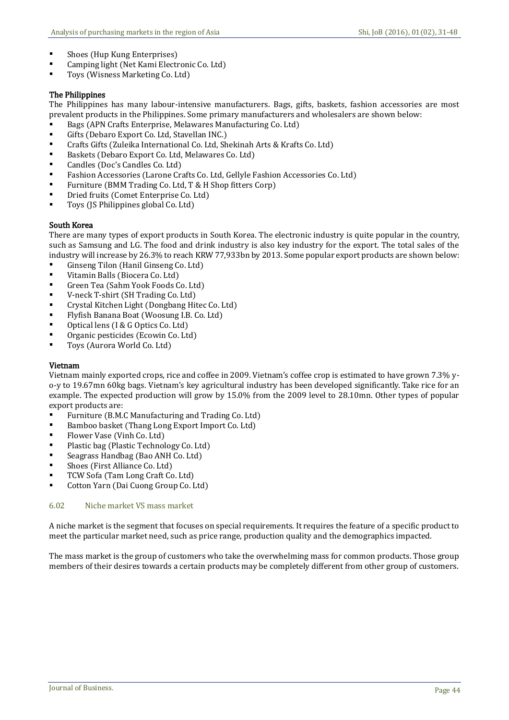- **Shoes (Hup Kung Enterprises)**
- Camping light (Net Kami Electronic Co. Ltd)
- **Toys (Wisness Marketing Co. Ltd)**

### The Philippines

The Philippines has many labour-intensive manufacturers. Bags, gifts, baskets, fashion accessories are most prevalent products in the Philippines. Some primary manufacturers and wholesalers are shown below:

- Bags (APN Crafts Enterprise, Melawares Manufacturing Co. Ltd)
- Gifts (Debaro Export Co. Ltd, Stavellan INC.)
- Crafts Gifts (Zuleika International Co. Ltd, Shekinah Arts & Krafts Co. Ltd)
- Baskets (Debaro Export Co. Ltd, Melawares Co. Ltd)
- Candles (Doc's Candles Co. Ltd)
- Fashion Accessories (Larone Crafts Co. Ltd, Gellyle Fashion Accessories Co. Ltd)
- Furniture (BMM Trading Co. Ltd, T & H Shop fitters Corp)
- Dried fruits (Comet Enterprise Co. Ltd)
- Toys (JS Philippines global Co. Ltd)

### South Korea

There are many types of export products in South Korea. The electronic industry is quite popular in the country, such as Samsung and LG. The food and drink industry is also key industry for the export. The total sales of the industry will increase by 26.3% to reach KRW 77,933bn by 2013. Some popular export products are shown below:

- Ginseng Tilon (Hanil Ginseng Co. Ltd)
- Vitamin Balls (Biocera Co. Ltd)
- Green Tea (Sahm Yook Foods Co. Ltd)
- V-neck T-shirt (SH Trading Co. Ltd)
- Crystal Kitchen Light (Dongbang Hitec Co. Ltd)
- Flyfish Banana Boat (Woosung I.B. Co. Ltd)
- Optical lens (I & G Optics Co. Ltd)
- Organic pesticides (Ecowin Co. Ltd)
- **Toys (Aurora World Co. Ltd)**

### Vietnam

Vietnam mainly exported crops, rice and coffee in 2009. Vietnam's coffee crop is estimated to have grown 7.3% yo-y to 19.67mn 60kg bags. Vietnam's key agricultural industry has been developed significantly. Take rice for an example. The expected production will grow by 15.0% from the 2009 level to 28.10mn. Other types of popular export products are:

- Furniture (B.M.C Manufacturing and Trading Co. Ltd)
- Bamboo basket (Thang Long Export Import Co. Ltd)
- Flower Vase (Vinh Co. Ltd)
- Plastic bag (Plastic Technology Co. Ltd)
- Seagrass Handbag (Bao ANH Co. Ltd)
- Shoes (First Alliance Co. Ltd)
- TCW Sofa (Tam Long Craft Co. Ltd)
- Cotton Yarn (Dai Cuong Group Co. Ltd)

### 6.02 Niche market VS mass market

A niche market is the segment that focuses on special requirements. It requires the feature of a specific product to meet the particular market need, such as price range, production quality and the demographics impacted.

The mass market is the group of customers who take the overwhelming mass for common products. Those group members of their desires towards a certain products may be completely different from other group of customers.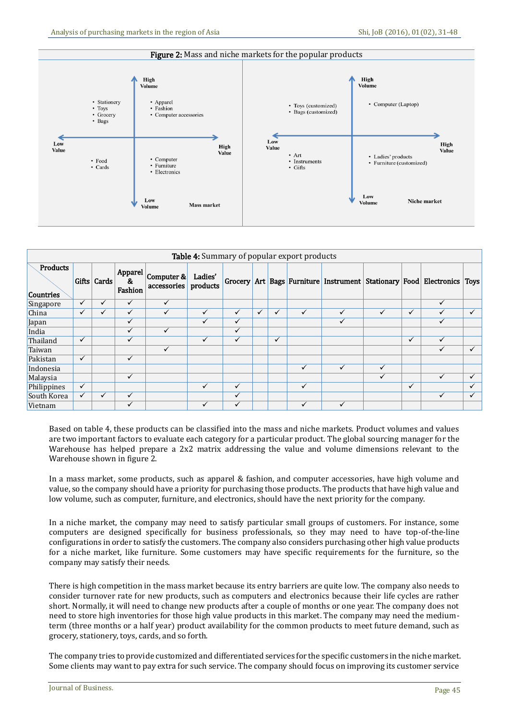

| <b>Table 4:</b> Summary of popular export products |              |              |                                |                           |                     |              |              |              |              |                                                         |              |              |                  |   |
|----------------------------------------------------|--------------|--------------|--------------------------------|---------------------------|---------------------|--------------|--------------|--------------|--------------|---------------------------------------------------------|--------------|--------------|------------------|---|
| Products<br><b>Countries</b>                       | Gifts        | Cards        | <b>Apparel</b><br>&<br>Fashion | Computer &<br>accessories | Ladies'<br>products | Grocery      |              |              |              | Art   Bags   Furniture   Instrument   Stationary   Food |              |              | Electronics Toys |   |
| Singapore                                          | ✓            | ✓            | $\checkmark$                   | ✓                         |                     |              |              |              |              |                                                         |              |              | ✓                |   |
| China                                              | $\checkmark$ | ✓            | $\checkmark$                   |                           | $\checkmark$        | $\checkmark$ | $\checkmark$ | $\checkmark$ | $\checkmark$ | ✓                                                       | $\checkmark$ | $\checkmark$ | $\checkmark$     | ✓ |
| Japan                                              |              |              | $\checkmark$                   |                           | ✓                   | $\checkmark$ |              |              |              | ✓                                                       |              |              | ✓                |   |
| India                                              |              |              | $\checkmark$                   | ✓                         |                     | $\checkmark$ |              |              |              |                                                         |              |              |                  |   |
| Thailand                                           | ✓            |              | $\checkmark$                   |                           | $\checkmark$        | $\checkmark$ |              | $\checkmark$ |              |                                                         |              | ✓            | ✓                |   |
| Taiwan                                             |              |              |                                | ✓                         |                     |              |              |              |              |                                                         |              |              | ✓                | ✓ |
| Pakistan                                           | ✓            |              | ✓                              |                           |                     |              |              |              |              |                                                         |              |              |                  |   |
| Indonesia                                          |              |              |                                |                           |                     |              |              |              | $\checkmark$ | $\checkmark$                                            | $\checkmark$ |              |                  |   |
| Malaysia                                           |              |              | $\checkmark$                   |                           |                     |              |              |              |              |                                                         | ✓            |              | $\checkmark$     |   |
| Philippines                                        | ✓            |              |                                |                           | $\checkmark$        | ✓            |              |              | ✓            |                                                         |              | ✓            |                  |   |
| South Korea                                        | ✓            | $\checkmark$ | ✓                              |                           |                     | $\checkmark$ |              |              |              |                                                         |              |              | ✓                | ✓ |
| Vietnam                                            |              |              | ✓                              |                           | ✓                   | ✓            |              |              | ✓            | ✓                                                       |              |              |                  |   |

Based on table 4, these products can be classified into the mass and niche markets. Product volumes and values are two important factors to evaluate each category for a particular product. The global sourcing manager for the Warehouse has helped prepare a 2x2 matrix addressing the value and volume dimensions relevant to the Warehouse shown in figure 2.

In a mass market, some products, such as apparel & fashion, and computer accessories, have high volume and value, so the company should have a priority for purchasing those products. The products that have high value and low volume, such as computer, furniture, and electronics, should have the next priority for the company.

In a niche market, the company may need to satisfy particular small groups of customers. For instance, some computers are designed specifically for business professionals, so they may need to have top-of-the-line configurations in order to satisfy the customers. The company also considers purchasing other high value products for a niche market, like furniture. Some customers may have specific requirements for the furniture, so the company may satisfy their needs.

There is high competition in the mass market because its entry barriers are quite low. The company also needs to consider turnover rate for new products, such as computers and electronics because their life cycles are rather short. Normally, it will need to change new products after a couple of months or one year. The company does not need to store high inventories for those high value products in this market. The company may need the mediumterm (three months or a half year) product availability for the common products to meet future demand, such as grocery, stationery, toys, cards, and so forth.

The company tries to provide customized and differentiated services for the specific customers in the niche market. Some clients may want to pay extra for such service. The company should focus on improving its customer service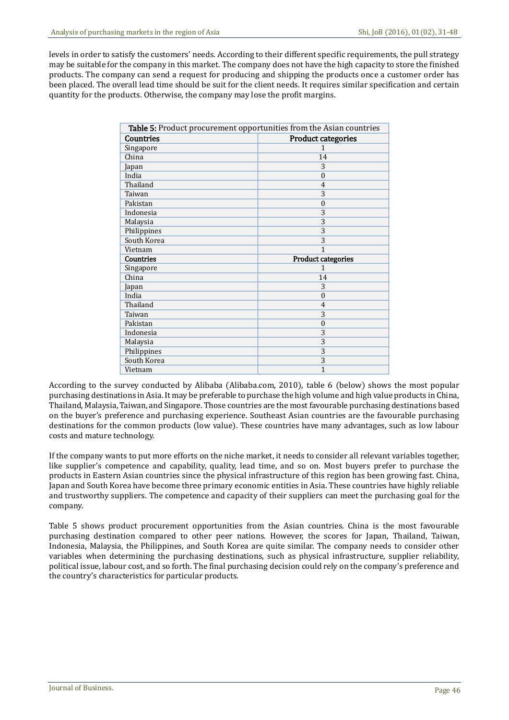levels in order to satisfy the customers' needs. According to their different specific requirements, the pull strategy may be suitable for the company in this market. The company does not have the high capacity to store the finished products. The company can send a request for producing and shipping the products once a customer order has been placed. The overall lead time should be suit for the client needs. It requires similar specification and certain quantity for the products. Otherwise, the company may lose the profit margins.

| Table 5: Product procurement opportunities from the Asian countries |                           |  |  |  |  |  |  |
|---------------------------------------------------------------------|---------------------------|--|--|--|--|--|--|
| Countries                                                           | <b>Product categories</b> |  |  |  |  |  |  |
| Singapore                                                           | 1                         |  |  |  |  |  |  |
| China                                                               | 14                        |  |  |  |  |  |  |
| Japan                                                               | 3                         |  |  |  |  |  |  |
| India                                                               | $\Omega$                  |  |  |  |  |  |  |
| Thailand                                                            | $\overline{4}$            |  |  |  |  |  |  |
| Taiwan                                                              | 3                         |  |  |  |  |  |  |
| Pakistan                                                            | $\theta$                  |  |  |  |  |  |  |
| Indonesia                                                           | 3                         |  |  |  |  |  |  |
| Malaysia                                                            | 3                         |  |  |  |  |  |  |
| Philippines                                                         | 3                         |  |  |  |  |  |  |
| South Korea                                                         | 3                         |  |  |  |  |  |  |
| Vietnam                                                             | $\mathbf{1}$              |  |  |  |  |  |  |
| Countries                                                           | <b>Product categories</b> |  |  |  |  |  |  |
| Singapore                                                           | 1                         |  |  |  |  |  |  |
| China                                                               | 14                        |  |  |  |  |  |  |
| Japan                                                               | 3                         |  |  |  |  |  |  |
| India                                                               | $\Omega$                  |  |  |  |  |  |  |
| Thailand                                                            | 4                         |  |  |  |  |  |  |
| Taiwan                                                              | 3                         |  |  |  |  |  |  |
| Pakistan                                                            | $\Omega$                  |  |  |  |  |  |  |
| Indonesia                                                           | 3                         |  |  |  |  |  |  |
| Malaysia                                                            | 3                         |  |  |  |  |  |  |
| Philippines                                                         | 3                         |  |  |  |  |  |  |
| South Korea                                                         | 3                         |  |  |  |  |  |  |
| Vietnam                                                             | $\mathbf{1}$              |  |  |  |  |  |  |

According to the survey conducted by Alibaba (Alibaba.com, 2010), table 6 (below) shows the most popular purchasing destinations in Asia. It may be preferable to purchase the high volume and high value products in China, Thailand, Malaysia, Taiwan, and Singapore. Those countries are the most favourable purchasing destinations based on the buyer's preference and purchasing experience. Southeast Asian countries are the favourable purchasing destinations for the common products (low value). These countries have many advantages, such as low labour costs and mature technology.

If the company wants to put more efforts on the niche market, it needs to consider all relevant variables together, like supplier's competence and capability, quality, lead time, and so on. Most buyers prefer to purchase the products in Eastern Asian countries since the physical infrastructure of this region has been growing fast. China, Japan and South Korea have become three primary economic entities in Asia. These countries have highly reliable and trustworthy suppliers. The competence and capacity of their suppliers can meet the purchasing goal for the company.

Table 5 shows product procurement opportunities from the Asian countries. China is the most favourable purchasing destination compared to other peer nations. However, the scores for Japan, Thailand, Taiwan, Indonesia, Malaysia, the Philippines, and South Korea are quite similar. The company needs to consider other variables when determining the purchasing destinations, such as physical infrastructure, supplier reliability, political issue, labour cost, and so forth. The final purchasing decision could rely on the company's preference and the country's characteristics for particular products.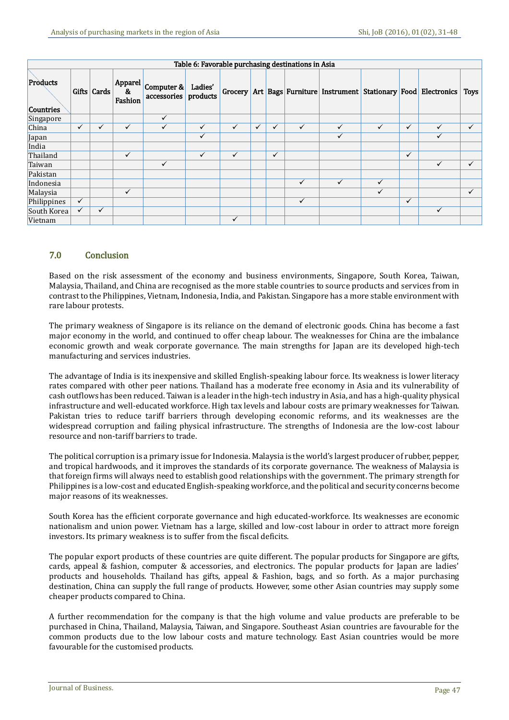| Table 6: Favorable purchasing destinations in Asia |              |              |                         |                           |                     |              |   |   |              |              |   |              |                                                                       |              |
|----------------------------------------------------|--------------|--------------|-------------------------|---------------------------|---------------------|--------------|---|---|--------------|--------------|---|--------------|-----------------------------------------------------------------------|--------------|
| <b>Products</b><br><b>Countries</b>                | Gifts        | Cards        | Apparel<br>&<br>Fashion | Computer &<br>accessories | Ladies'<br>products | Grocery      |   |   |              |              |   |              | Art   Bags   Furniture   Instrument   Stationary   Food   Electronics | Toys         |
| Singapore                                          |              |              |                         | ✓                         |                     |              |   |   |              |              |   |              |                                                                       |              |
| China                                              | $\checkmark$ | ✓            | ✓                       | ✓                         | ✓                   | ✓            | ✓ | ✓ | ✓            | $\checkmark$ | ✓ | $\checkmark$ | ✓                                                                     | ✓            |
| Japan                                              |              |              |                         |                           | ✓                   |              |   |   |              | ✓            |   |              | ✓                                                                     |              |
| India                                              |              |              |                         |                           |                     |              |   |   |              |              |   |              |                                                                       |              |
| Thailand                                           |              |              | $\checkmark$            |                           | $\checkmark$        | $\checkmark$ |   | ✓ |              |              |   | $\checkmark$ |                                                                       |              |
| Taiwan                                             |              |              |                         | ✓                         |                     |              |   |   |              |              |   |              | $\checkmark$                                                          |              |
| Pakistan                                           |              |              |                         |                           |                     |              |   |   |              |              |   |              |                                                                       |              |
| Indonesia                                          |              |              |                         |                           |                     |              |   |   | $\checkmark$ | $\checkmark$ | ✓ |              |                                                                       |              |
| Malaysia                                           |              |              | $\checkmark$            |                           |                     |              |   |   |              |              | ✓ |              |                                                                       | $\checkmark$ |
| Philippines                                        | $\checkmark$ |              |                         |                           |                     |              |   |   | ✓            |              |   | ✓            |                                                                       |              |
| South Korea                                        | $\checkmark$ | $\checkmark$ |                         |                           |                     |              |   |   |              |              |   |              | $\checkmark$                                                          |              |
| Vietnam                                            |              |              |                         |                           |                     | ✓            |   |   |              |              |   |              |                                                                       |              |

# 7.0 Conclusion

Based on the risk assessment of the economy and business environments, Singapore, South Korea, Taiwan, Malaysia, Thailand, and China are recognised as the more stable countries to source products and services from in contrast to the Philippines, Vietnam, Indonesia, India, and Pakistan. Singapore has a more stable environment with rare labour protests.

The primary weakness of Singapore is its reliance on the demand of electronic goods. China has become a fast major economy in the world, and continued to offer cheap labour. The weaknesses for China are the imbalance economic growth and weak corporate governance. The main strengths for Japan are its developed high-tech manufacturing and services industries.

The advantage of India is its inexpensive and skilled English-speaking labour force. Its weakness is lower literacy rates compared with other peer nations. Thailand has a moderate free economy in Asia and its vulnerability of cash outflows has been reduced. Taiwan is a leader in the high-tech industry in Asia, and has a high-quality physical infrastructure and well-educated workforce. High tax levels and labour costs are primary weaknesses for Taiwan. Pakistan tries to reduce tariff barriers through developing economic reforms, and its weaknesses are the widespread corruption and failing physical infrastructure. The strengths of Indonesia are the low-cost labour resource and non-tariff barriers to trade.

The political corruption is a primary issue for Indonesia. Malaysia is the world's largest producer of rubber, pepper, and tropical hardwoods, and it improves the standards of its corporate governance. The weakness of Malaysia is that foreign firms will always need to establish good relationships with the government. The primary strength for Philippines is a low-cost and educated English-speaking workforce, and the political and security concerns become major reasons of its weaknesses.

South Korea has the efficient corporate governance and high educated-workforce. Its weaknesses are economic nationalism and union power. Vietnam has a large, skilled and low-cost labour in order to attract more foreign investors. Its primary weakness is to suffer from the fiscal deficits.

The popular export products of these countries are quite different. The popular products for Singapore are gifts, cards, appeal & fashion, computer & accessories, and electronics. The popular products for Japan are ladies' products and households. Thailand has gifts, appeal & Fashion, bags, and so forth. As a major purchasing destination, China can supply the full range of products. However, some other Asian countries may supply some cheaper products compared to China.

A further recommendation for the company is that the high volume and value products are preferable to be purchased in China, Thailand, Malaysia, Taiwan, and Singapore. Southeast Asian countries are favourable for the common products due to the low labour costs and mature technology. East Asian countries would be more favourable for the customised products.